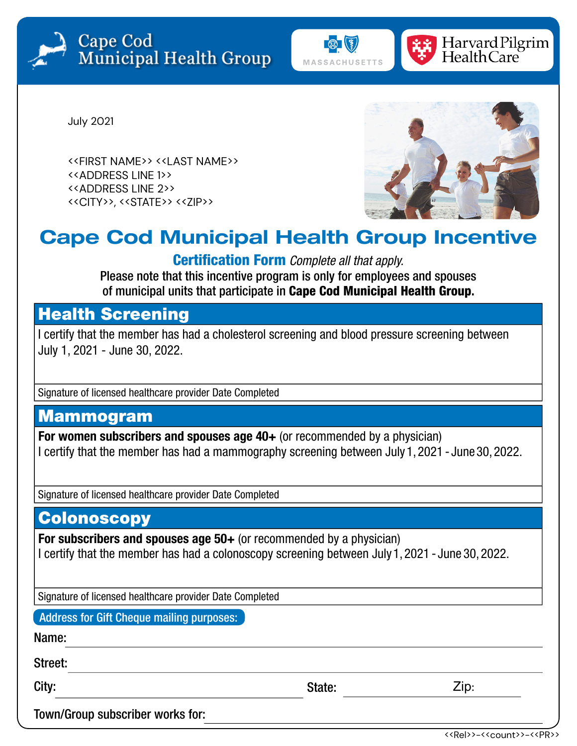





July 2021

<<FIRST NAME>> <<LAST NAME>> <<ADDRESS LINE 1>> <<ADDRESS LINE 2>> <<CITY>>, <<STATE>> <<ZIP>>



## **Cape Cod Municipal Health Group Incentive**

Certification Form *Complete all that apply.*

Please note that this incentive program is only for employees and spouses of municipal units that participate in Cape Cod Municipal Health Group**.**

### Health Screening

I certify that the member has had a cholesterol screening and blood pressure screening between July 1, 2021 - June 30, 2022.

Signature of licensed healthcare provider Date Completed

### Mammogram

**For women subscribers and spouses age 40+** (or recommended by a physician) I certify that the member has had a mammography screening between July 1, 2021 - June 30, 2022.

Signature of licensed healthcare provider Date Completed

### **Colonoscopy**

**For subscribers and spouses age 50+** (or recommended by a physician) I certify that the member has had a colonoscopy screening between July 1, 2021 - June 30, 2022.

Signature of licensed healthcare provider Date Completed

Address for Gift Cheque mailing purposes:

Name:

Street:

City: State: State: State: State: State: State: State: State: State: State: State: State: State: State: State: State: State: State: State: State: State: State: State: State: State: State: State: State: State: State: State:

Zip:

Town/Group subscriber works for: